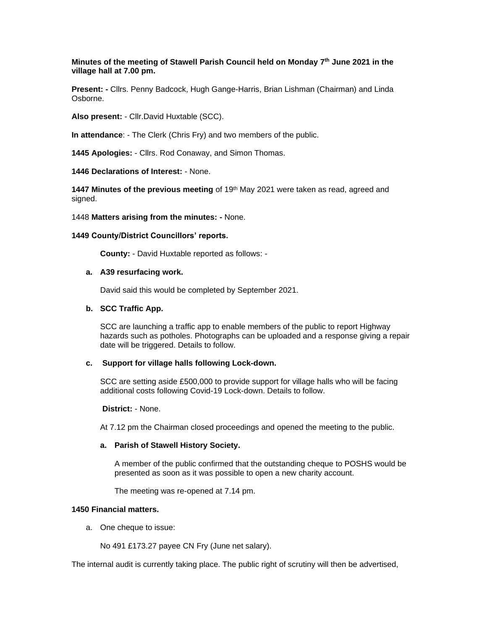**Minutes of the meeting of Stawell Parish Council held on Monday 7 th June 2021 in the village hall at 7.00 pm.**

**Present: -** Cllrs. Penny Badcock, Hugh Gange-Harris, Brian Lishman (Chairman) and Linda Osborne.

**Also present:** - Cllr.David Huxtable (SCC).

**In attendance**: - The Clerk (Chris Fry) and two members of the public.

**1445 Apologies:** - Cllrs. Rod Conaway, and Simon Thomas.

**1446 Declarations of Interest:** - None.

**1447 Minutes of the previous meeting** of 19<sup>th</sup> May 2021 were taken as read, agreed and signed.

1448 **Matters arising from the minutes: -** None.

## **1449 County/District Councillors' reports.**

 **County:** - David Huxtable reported as follows: -

#### **a. A39 resurfacing work.**

David said this would be completed by September 2021.

#### **b. SCC Traffic App.**

SCC are launching a traffic app to enable members of the public to report Highway hazards such as potholes. Photographs can be uploaded and a response giving a repair date will be triggered. Details to follow.

## **c. Support for village halls following Lock-down.**

SCC are setting aside £500,000 to provide support for village halls who will be facing additional costs following Covid-19 Lock-down. Details to follow.

**District:** - None.

At 7.12 pm the Chairman closed proceedings and opened the meeting to the public.

# **a. Parish of Stawell History Society.**

A member of the public confirmed that the outstanding cheque to POSHS would be presented as soon as it was possible to open a new charity account.

The meeting was re-opened at 7.14 pm.

#### **1450 Financial matters.**

a. One cheque to issue:

No 491 £173.27 payee CN Fry (June net salary).

The internal audit is currently taking place. The public right of scrutiny will then be advertised,